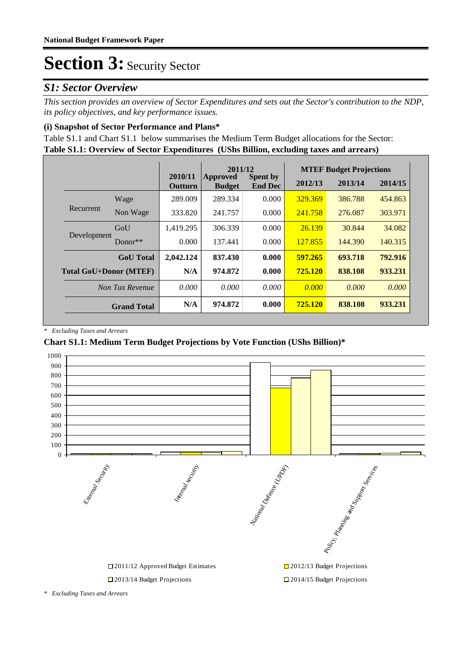### *S1: Sector Overview*

*This section provides an overview of Sector Expenditures and sets out the Sector's contribution to the NDP, its policy objectives, and key performance issues.* 

#### **(i) Snapshot of Sector Performance and Plans\***

**Table S1.1: Overview of Sector Expenditures (UShs Billion, excluding taxes and arrears)** Table S1.1 and Chart S1.1 below summarises the Medium Term Budget allocations for the Sector:

|                               |                    |                    | 2011/12                   |                                   | <b>MTEF Budget Projections</b> |         |         |
|-------------------------------|--------------------|--------------------|---------------------------|-----------------------------------|--------------------------------|---------|---------|
|                               |                    | 2010/11<br>Outturn | Approved<br><b>Budget</b> | <b>Spent by</b><br><b>End Dec</b> | 2012/13                        | 2013/14 | 2014/15 |
|                               | Wage               | 289.009            | 289.334                   | 0.000                             | 329.369                        | 386.788 | 454.863 |
| Recurrent                     | Non Wage           | 333.820            | 241.757                   | 0.000                             | 241.758                        | 276.087 | 303.971 |
| Development                   | GoU                | 1.419.295          | 306.339                   | 0.000                             | 26.139                         | 30.844  | 34.082  |
|                               | $Donor**$          | 0.000              | 137.441                   | 0.000                             | 127.855                        | 144,390 | 140.315 |
|                               | <b>GoU</b> Total   | 2,042.124          | 837.430                   | 0.000                             | 597.265                        | 693.718 | 792.916 |
| <b>Total GoU+Donor (MTEF)</b> |                    | N/A                | 974.872                   | 0.000                             | 725.120                        | 838.108 | 933.231 |
|                               | Non Tax Revenue    | 0.000              | 0.000                     | 0.000                             | 0.000                          | 0.000   | 0.000   |
|                               | <b>Grand Total</b> | N/A                | 974.872                   | 0.000                             | 725.120                        | 838.108 | 933.231 |

*\* Excluding Taxes and Arrears*

#### **Chart S1.1: Medium Term Budget Projections by Vote Function (UShs Billion)\***



*\* Excluding Taxes and Arrears*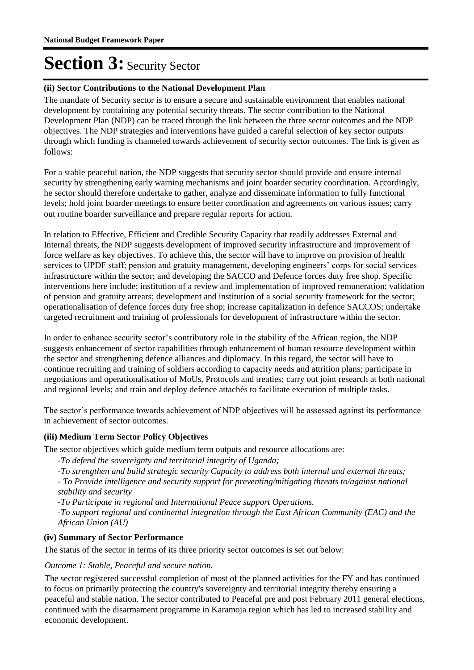#### **(ii) Sector Contributions to the National Development Plan**

The mandate of Security sector is to ensure a secure and sustainable environment that enables national development by containing any potential security threats. The sector contribution to the National Development Plan (NDP) can be traced through the link between the three sector outcomes and the NDP objectives. The NDP strategies and interventions have guided a careful selection of key sector outputs through which funding is channeled towards achievement of security sector outcomes. The link is given as follows:

For a stable peaceful nation, the NDP suggests that security sector should provide and ensure internal security by strengthening early warning mechanisms and joint boarder security coordination. Accordingly, he sector should therefore undertake to gather, analyze and disseminate information to fully functional levels; hold joint boarder meetings to ensure better coordination and agreements on various issues; carry out routine boarder surveillance and prepare regular reports for action.

In relation to Effective, Efficient and Credible Security Capacity that readily addresses External and Internal threats, the NDP suggests development of improved security infrastructure and improvement of force welfare as key objectives. To achieve this, the sector will have to improve on provision of health services to UPDF staff; pension and gratuity management, developing engineers' corps for social services infrastructure within the sector; and developing the SACCO and Defence forces duty free shop. Specific interventions here include: institution of a review and implementation of improved remuneration; validation of pension and gratuity arrears; development and institution of a social security framework for the sector; operationalisation of defence forces duty free shop; increase capitalization in defence SACCOS; undertake targeted recruitment and training of professionals for development of infrastructure within the sector.

In order to enhance security sector's contributory role in the stability of the African region, the NDP suggests enhancement of sector capabilities through enhancement of human resource development within the sector and strengthening defence alliances and diplomacy. In this regard, the sector will have to continue recruiting and training of soldiers according to capacity needs and attrition plans; participate in negotiations and operationalisation of MoUs, Protocols and treaties; carry out joint research at both national and regional levels; and train and deploy defence attachés to facilitate execution of multiple tasks.

The sector's performance towards achievement of NDP objectives will be assessed against its performance in achievement of sector outcomes.

#### **(iii) Medium Term Sector Policy Objectives**

The sector objectives which guide medium term outputs and resource allocations are:

*-To defend the sovereignty and territorial integrity of Uganda;*

*-To strengthen and build strategic security Capacity to address both internal and external threats; - To Provide intelligence and security support for preventing/mitigating threats to/against national* 

*stability and security*

*-To Participate in regional and International Peace support Operations.*

*-To support regional and continental integration through the East African Community (EAC) and the African Union (AU)*

#### **(iv) Summary of Sector Performance**

The status of the sector in terms of its three priority sector outcomes is set out below:

Outcome 1: Stable, Peaceful and secure nation.

The sector registered successful completion of most of the planned activities for the FY and has continued to focus on primarily protecting the country's sovereignty and territorial integrity thereby ensuring a peaceful and stable nation. The sector contributed to Peaceful pre and post February 2011 general elections, continued with the disarmament programme in Karamoja region which has led to increased stability and economic development.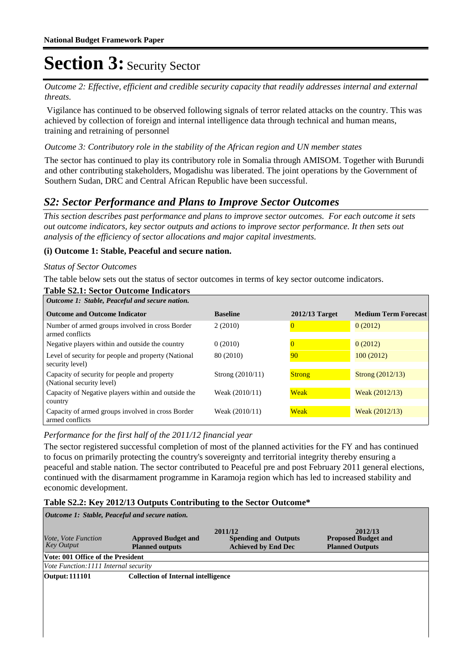Outcome 2: Effective, efficient and credible security capacity that readily addresses internal and external *threats.*

Vigilance has continued to be observed following signals of terror related attacks on the country. This was achieved by collection of foreign and internal intelligence data through technical and human means, training and retraining of personnel

#### Outcome 3: Contributory role in the stability of the African region and UN member states

The sector has continued to play its contributory role in Somalia through AMISOM. Together with Burundi and other contributing stakeholders, Mogadishu was liberated. The joint operations by the Government of Southern Sudan, DRC and Central African Republic have been successful.

### *S2: Sector Performance and Plans to Improve Sector Outcomes*

*This section describes past performance and plans to improve sector outcomes. For each outcome it sets out outcome indicators, key sector outputs and actions to improve sector performance. It then sets out analysis of the efficiency of sector allocations and major capital investments.*

#### **(i) Outcome 1: Stable, Peaceful and secure nation.**

#### *Status of Sector Outcomes*

The table below sets out the status of sector outcomes in terms of key sector outcome indicators.

| <b>Table S2.1: Sector Outcome Indicators</b>                              |                    |                |                             |  |  |  |  |
|---------------------------------------------------------------------------|--------------------|----------------|-----------------------------|--|--|--|--|
| Outcome 1: Stable, Peaceful and secure nation.                            |                    |                |                             |  |  |  |  |
| <b>Outcome and Outcome Indicator</b>                                      | <b>Baseline</b>    | 2012/13 Target | <b>Medium Term Forecast</b> |  |  |  |  |
| Number of armed groups involved in cross Border<br>armed conflicts        | 2(2010)            |                | 0(2012)                     |  |  |  |  |
| Negative players within and outside the country                           | 0(2010)            |                | 0(2012)                     |  |  |  |  |
| Level of security for people and property (National<br>security level)    | 80 (2010)          | 90             | 100(2012)                   |  |  |  |  |
| Capacity of security for people and property<br>(National security level) | Strong $(2010/11)$ | <b>Strong</b>  | Strong (2012/13)            |  |  |  |  |
| Capacity of Negative players within and outside the<br>country            | Weak (2010/11)     | <b>Weak</b>    | Weak $(2012/13)$            |  |  |  |  |
| Capacity of armed groups involved in cross Border<br>armed conflicts      | Weak (2010/11)     | <b>Weak</b>    | Weak $(2012/13)$            |  |  |  |  |

#### *Performance for the first half of the 2011/12 financial year*

The sector registered successful completion of most of the planned activities for the FY and has continued to focus on primarily protecting the country's sovereignty and territorial integrity thereby ensuring a peaceful and stable nation. The sector contributed to Peaceful pre and post February 2011 general elections, continued with the disarmament programme in Karamoja region which has led to increased stability and economic development.

#### **Table S2.2: Key 2012/13 Outputs Contributing to the Sector Outcome\***

| Outcome 1: Stable, Peaceful and secure nation.  |                                                      |                                                                      |                                                                 |  |  |  |  |
|-------------------------------------------------|------------------------------------------------------|----------------------------------------------------------------------|-----------------------------------------------------------------|--|--|--|--|
| <i>Vote, Vote Function</i><br><b>Key Output</b> | <b>Approved Budget and</b><br><b>Planned outputs</b> | 2011/12<br><b>Spending and Outputs</b><br><b>Achieved by End Dec</b> | 2012/13<br><b>Proposed Budget and</b><br><b>Planned Outputs</b> |  |  |  |  |
| Vote: 001 Office of the President               |                                                      |                                                                      |                                                                 |  |  |  |  |
| Vote Function: 1111 Internal security           |                                                      |                                                                      |                                                                 |  |  |  |  |
| <b>Output: 111101</b>                           | <b>Collection of Internal intelligence</b>           |                                                                      |                                                                 |  |  |  |  |
|                                                 |                                                      |                                                                      |                                                                 |  |  |  |  |
|                                                 |                                                      |                                                                      |                                                                 |  |  |  |  |
|                                                 |                                                      |                                                                      |                                                                 |  |  |  |  |
|                                                 |                                                      |                                                                      |                                                                 |  |  |  |  |
|                                                 |                                                      |                                                                      |                                                                 |  |  |  |  |
|                                                 |                                                      |                                                                      |                                                                 |  |  |  |  |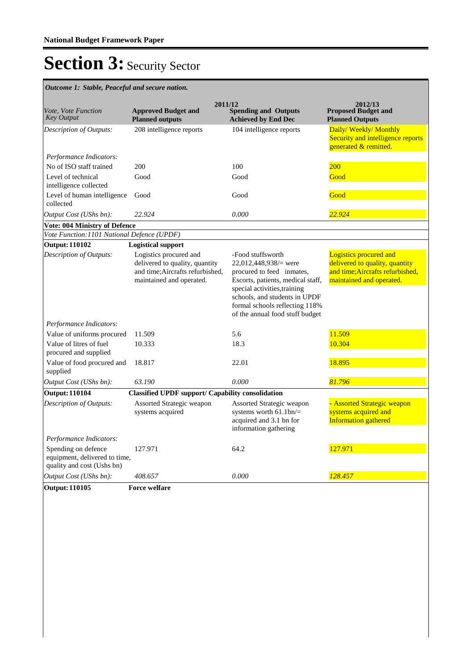**Spending and Outputs Achieved by End Dec Approved Budget and Planned outputs Proposed Budget and Planned Outputs 2011/12** *Vote, Vote Function Key Output* **2012/13** *Outcome 1: Stable, Peaceful and secure nation.* 208 intelligence reports 104 intelligence reports **Daily/ Weekly/ Monthly** Security and intelligence reports generated & remitted. *Output Cost (UShs bn): 22.924 0.000 22.924 Description of Outputs: Performance Indicators:* No of ISO staff trained 200 200 100 200 200 Level of technical intelligence collected Good Good Good Level of human intelligence collected Good Good Good **Vote: 004 Ministry of Defence** *Vote Function:1101 National Defence (UPDF)* **Output: 110102 Logistical support** Logistics procured and delivered to quality, quantity and time;Aircrafts refurbished, maintained and operated. -Food stuffsworth 22,012,448,938/= were procured to feed inmates, Escorts, patients, medical staff, special activities,training schools, and students in UPDF formal schools reflecting 118% of the annual food stuff budget Logistics procured and delivered to quality, quantity and time;Aircrafts refurbished, maintained and operated. *Output Cost (UShs bn): 63.190 0.000 81.796 Description of Outputs: Performance Indicators:* Value of uniforms procured 11.509 5.6 5.6 11.509 Value of litres of fuel procured and supplied 10.333 18.3 18.3 10.304 Value of food procured and supplied 18.817 22.01 18.895 **Output: 110104 Classified UPDF support/ Capability consolidation** Assorted Strategic weapon systems acquired Assorted Strategic weapon systems worth 61.1bn/= acquired and 3.1 bn for information gathering - Assorted Strategic weapon systems acquired and Information gathered *Output Cost (UShs bn): 408.657 0.000 128.457 Description of Outputs: Performance Indicators:* Spending on defence equipment, delivered to time, quality and cost (Ushs bn) 127.971 64.2 **127.971 Output: 110105 Force welfare**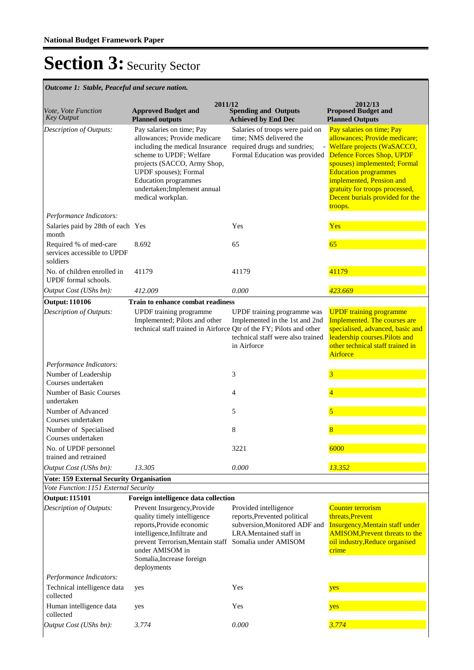*Outcome 1: Stable, Peaceful and secure nation.*

| Vote, Vote Function<br><b>Key Output</b>                              | 2011/12<br><b>Approved Budget and</b><br><b>Planned outputs</b>                                                                                                                                                                                                                                 | <b>Spending and Outputs</b><br><b>Achieved by End Dec</b>                                                             | 2012/13<br><b>Proposed Budget and</b><br><b>Planned Outputs</b>                                                                                                                                                                                                       |
|-----------------------------------------------------------------------|-------------------------------------------------------------------------------------------------------------------------------------------------------------------------------------------------------------------------------------------------------------------------------------------------|-----------------------------------------------------------------------------------------------------------------------|-----------------------------------------------------------------------------------------------------------------------------------------------------------------------------------------------------------------------------------------------------------------------|
| Description of Outputs:                                               | Pay salaries on time; Pay<br>allowances; Provide medicare<br>including the medical Insurance required drugs and sundries;<br>scheme to UPDF; Welfare<br>projects (SACCO, Army Shop,<br>UPDF spouses); Formal<br><b>Education programmes</b><br>undertaken;Implement annual<br>medical workplan. | Salaries of troops were paid on<br>time; NMS delivered the<br>Formal Education was provided Defence Forces Shop, UPDF | Pay salaries on time; Pay<br>allowances; Provide medicare;<br>- Welfare projects (WaSACCO,<br>spouses) implemented; Formal<br><b>Education programmes</b><br>implemented, Pension and<br>gratuity for troops processed,<br>Decent burials provided for the<br>troops. |
| Performance Indicators:<br>Salaries paid by 28th of each Yes<br>month |                                                                                                                                                                                                                                                                                                 | Yes                                                                                                                   | <b>Yes</b>                                                                                                                                                                                                                                                            |
| Required % of med-care<br>services accessible to UPDF<br>soldiers     | 8.692                                                                                                                                                                                                                                                                                           | 65                                                                                                                    | 65                                                                                                                                                                                                                                                                    |
| No. of children enrolled in<br>UPDF formal schools.                   | 41179                                                                                                                                                                                                                                                                                           | 41179                                                                                                                 | 41179                                                                                                                                                                                                                                                                 |
| Output Cost (UShs bn):                                                | 412.009                                                                                                                                                                                                                                                                                         | 0.000                                                                                                                 | 423.669                                                                                                                                                                                                                                                               |
| <b>Output: 110106</b>                                                 | Train to enhance combat readiness                                                                                                                                                                                                                                                               |                                                                                                                       |                                                                                                                                                                                                                                                                       |
| <b>Description of Outputs:</b>                                        | UPDF training programme<br>Implemented; Pilots and other<br>technical staff trained in Airforce Qtr of the FY; Pilots and other                                                                                                                                                                 | UPDF training programme was<br>Implemented in the 1st and 2nd<br>technical staff were also trained<br>in Airforce     | <b>UPDF</b> training programme<br>Implemented. The courses are<br>specialised, advanced, basic and<br>leadership courses. Pilots and<br>other technical staff trained in<br>Airforce                                                                                  |
| Performance Indicators:                                               |                                                                                                                                                                                                                                                                                                 |                                                                                                                       |                                                                                                                                                                                                                                                                       |
| Number of Leadership<br>Courses undertaken                            |                                                                                                                                                                                                                                                                                                 | 3                                                                                                                     | 3                                                                                                                                                                                                                                                                     |
| Number of Basic Courses<br>undertaken                                 |                                                                                                                                                                                                                                                                                                 | 4                                                                                                                     | 4                                                                                                                                                                                                                                                                     |
| Number of Advanced<br>Courses undertaken                              |                                                                                                                                                                                                                                                                                                 | 5                                                                                                                     | 5                                                                                                                                                                                                                                                                     |
| Number of Specialised<br>Courses undertaken                           |                                                                                                                                                                                                                                                                                                 | 8                                                                                                                     | 8                                                                                                                                                                                                                                                                     |
| No. of UPDF personnel<br>trained and retrained                        |                                                                                                                                                                                                                                                                                                 | 3221                                                                                                                  | 6000                                                                                                                                                                                                                                                                  |
| Output Cost (UShs bn):                                                | 13.305                                                                                                                                                                                                                                                                                          | 0.000                                                                                                                 | 13.352                                                                                                                                                                                                                                                                |
| <b>Vote: 159 External Security Organisation</b>                       |                                                                                                                                                                                                                                                                                                 |                                                                                                                       |                                                                                                                                                                                                                                                                       |
| Vote Function:1151 External Security                                  |                                                                                                                                                                                                                                                                                                 |                                                                                                                       |                                                                                                                                                                                                                                                                       |
| <b>Output: 115101</b>                                                 | Foreign intelligence data collection                                                                                                                                                                                                                                                            |                                                                                                                       |                                                                                                                                                                                                                                                                       |
| Description of Outputs:                                               | Prevent Insurgency, Provide<br>quality timely intelligence<br>reports, Provide economic<br>intelligence, Infiltrate and<br>prevent Terrorism, Mentain staff Somalia under AMISOM<br>under AMISOM in<br>Somalia, Increase foreign<br>deployments                                                 | Provided intelligence<br>reports, Prevented political<br>subversion, Monitored ADF and<br>LRA.Mentained staff in      | <b>Counter terrorism</b><br>threats, Prevent<br>Insurgency, Mentain staff under<br><b>AMISOM, Prevent threats to the</b><br>oil industry, Reduce organised<br>crime                                                                                                   |
| Performance Indicators:                                               |                                                                                                                                                                                                                                                                                                 |                                                                                                                       |                                                                                                                                                                                                                                                                       |
| Technical intelligence data<br>collected                              | yes                                                                                                                                                                                                                                                                                             | Yes                                                                                                                   | yes                                                                                                                                                                                                                                                                   |
| Human intelligence data<br>collected                                  | yes                                                                                                                                                                                                                                                                                             | Yes                                                                                                                   | yes                                                                                                                                                                                                                                                                   |
| Output Cost (UShs bn):                                                | 3.774                                                                                                                                                                                                                                                                                           | 0.000                                                                                                                 | 3.774                                                                                                                                                                                                                                                                 |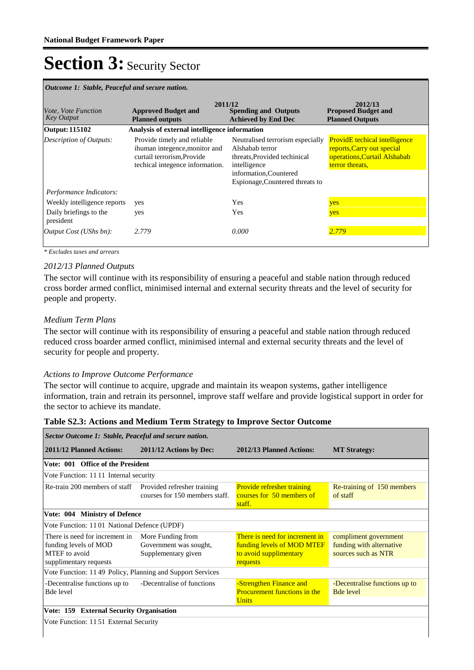| Outcome 1: Stable, Peaceful and secure nation.  |                                                                                                                               |                                                                                                                                                                  |                                                                                                                       |  |  |  |
|-------------------------------------------------|-------------------------------------------------------------------------------------------------------------------------------|------------------------------------------------------------------------------------------------------------------------------------------------------------------|-----------------------------------------------------------------------------------------------------------------------|--|--|--|
| <i>Vote, Vote Function</i><br><b>Key Output</b> | <b>Approved Budget and</b><br><b>Planned outputs</b>                                                                          | 2011/12<br><b>Spending and Outputs</b><br><b>Achieved by End Dec</b>                                                                                             | 2012/13<br><b>Proposed Budget and</b><br><b>Planned Outputs</b>                                                       |  |  |  |
| <b>Output: 115102</b>                           | Analysis of external intelligence information                                                                                 |                                                                                                                                                                  |                                                                                                                       |  |  |  |
| Description of Outputs:                         | Provide timely and reliable<br>ihuman integence, monitor and<br>curtail terrorism, Provide<br>techical integence information. | Neutralised terrorism especially<br>Alshabab terror<br>threats, Provided techinical<br>intelligence<br>information, Countered<br>Espionage, Countered threats to | <b>ProvidE</b> techical intelligence<br>reports, Carry out special<br>operations, Curtail Alshabab<br>terror threats. |  |  |  |
| Performance Indicators:                         |                                                                                                                               |                                                                                                                                                                  |                                                                                                                       |  |  |  |
| Weekly intelligence reports                     | yes                                                                                                                           | Yes                                                                                                                                                              | yes                                                                                                                   |  |  |  |
| Daily briefings to the<br>president             | yes                                                                                                                           | Yes                                                                                                                                                              | yes                                                                                                                   |  |  |  |
| Output Cost (UShs bn):                          | 2.779                                                                                                                         | 0.000                                                                                                                                                            | 2.779                                                                                                                 |  |  |  |

*\* Excludes taxes and arrears*

#### *2012/13 Planned Outputs*

The sector will continue with its responsibility of ensuring a peaceful and stable nation through reduced cross border armed conflict, minimised internal and external security threats and the level of security for people and property.

#### *Medium Term Plans*

The sector will continue with its responsibility of ensuring a peaceful and stable nation through reduced reduced cross boarder armed conflict, minimised internal and external security threats and the level of security for people and property.

#### *Actions to Improve Outcome Performance*

The sector will continue to acquire, upgrade and maintain its weapon systems, gather intelligence information, train and retrain its personnel, improve staff welfare and provide logistical support in order for the sector to achieve its mandate.

#### **Table S2.3: Actions and Medium Term Strategy to Improve Sector Outcome**

| Sector Outcome 1: Stable, Peaceful and secure nation.                                              |                                                                    |                                                                                                    |                                                                          |  |  |
|----------------------------------------------------------------------------------------------------|--------------------------------------------------------------------|----------------------------------------------------------------------------------------------------|--------------------------------------------------------------------------|--|--|
| 2011/12 Planned Actions:                                                                           | 2011/12 Actions by Dec:                                            | 2012/13 Planned Actions:                                                                           | <b>MT Strategy:</b>                                                      |  |  |
| Vote: 001 Office of the President                                                                  |                                                                    |                                                                                                    |                                                                          |  |  |
| Vote Function: 1111 Internal security                                                              |                                                                    |                                                                                                    |                                                                          |  |  |
| Re-train 200 members of staff Provided refresher training                                          | courses for 150 members staff.                                     | <b>Provide refresher training</b><br>courses for 50 members of<br>staff.                           | Re-training of 150 members<br>of staff                                   |  |  |
| Vote: 004 Ministry of Defence                                                                      |                                                                    |                                                                                                    |                                                                          |  |  |
| Vote Function: 1101 National Defence (UPDF)                                                        |                                                                    |                                                                                                    |                                                                          |  |  |
| There is need for increment in<br>funding levels of MOD<br>MTEF to avoid<br>supplimentary requests | More Funding from<br>Government was sought,<br>Supplementary given | There is need for increment in<br>funding levels of MOD MTEF<br>to avoid supplimentary<br>requests | compliment government<br>funding with alternative<br>sources such as NTR |  |  |
| Vote Function: 1149 Policy, Planning and Support Services                                          |                                                                    |                                                                                                    |                                                                          |  |  |
| -Decentralise functions up to<br><b>Bde level</b>                                                  | -Decentralise of functions                                         | -Strengthen Finance and<br><b>Procurement functions in the</b><br><b>Units</b>                     | -Decentralise functions up to<br><b>Bde level</b>                        |  |  |
| Vote: 159 External Security Organisation                                                           |                                                                    |                                                                                                    |                                                                          |  |  |
| Vote Function: 1151 External Security                                                              |                                                                    |                                                                                                    |                                                                          |  |  |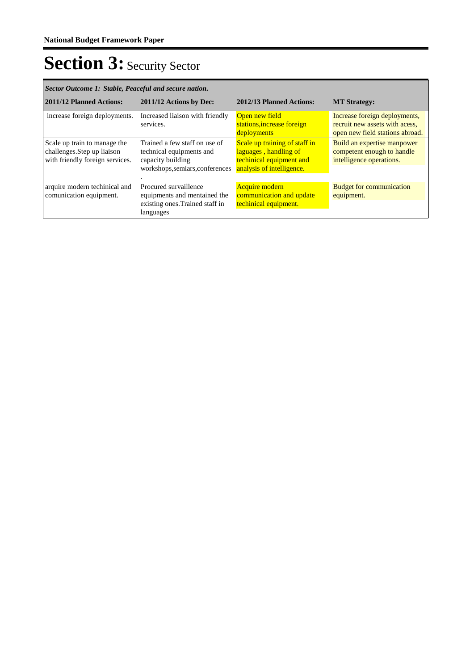| Sector Outcome 1: Stable, Peaceful and secure nation.                                          |                                                                                                                   |                                                                                                                 |                                                                                                    |  |  |
|------------------------------------------------------------------------------------------------|-------------------------------------------------------------------------------------------------------------------|-----------------------------------------------------------------------------------------------------------------|----------------------------------------------------------------------------------------------------|--|--|
| 2011/12 Planned Actions:                                                                       | 2011/12 Actions by Dec:                                                                                           | 2012/13 Planned Actions:                                                                                        | <b>MT Strategy:</b>                                                                                |  |  |
| increase foreign deployments.                                                                  | Increased liaison with friendly<br>services.                                                                      | Open new field<br>stations, increase foreign<br>deployments                                                     | Increase foreign deployments,<br>recruit new assets with acess,<br>open new field stations abroad. |  |  |
| Scale up train to manage the<br>challenges. Step up liaison<br>with friendly foreign services. | Trained a few staff on use of<br>technical equipments and<br>capacity building<br>workshops, semiars, conferences | Scale up training of staff in<br>laguages, handling of<br>techinical equipment and<br>analysis of intelligence. | Build an expertise manpower<br>competent enough to handle<br>intelligence operations.              |  |  |
| arquire modern techinical and<br>comunication equipment.                                       | Procured survaillence<br>equipments and mentained the<br>existing ones. Trained staff in<br>languages             | <b>Acquire</b> modern<br>communication and update<br>techinical equipment.                                      | <b>Budget for communication</b><br>equipment.                                                      |  |  |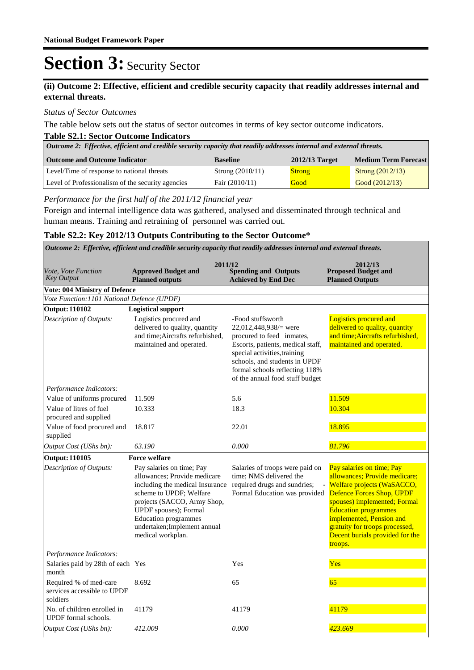#### **(ii) Outcome 2: Effective, efficient and credible security capacity that readily addresses internal and external threats.**

#### *Status of Sector Outcomes*

The table below sets out the status of sector outcomes in terms of key sector outcome indicators.

#### **Table S2.1: Sector Outcome Indicators**

| Outcome 2: Effective, efficient and credible security capacity that readily addresses internal and external threats. |                    |               |                    |  |  |  |
|----------------------------------------------------------------------------------------------------------------------|--------------------|---------------|--------------------|--|--|--|
| <b>Medium Term Forecast</b><br><b>Outcome and Outcome Indicator</b><br>$2012/13$ Target<br><b>Baseline</b>           |                    |               |                    |  |  |  |
| Level/Time of response to national threats                                                                           | Strong $(2010/11)$ | <b>Strong</b> | Strong $(2012/13)$ |  |  |  |
| Level of Professionalism of the security agencies<br>Good (2012/13)<br>Fair $(2010/11)$<br>Good                      |                    |               |                    |  |  |  |

*Performance for the first half of the 2011/12 financial year*

Foreign and internal intelligence data was gathered, analysed and disseminated through technical and human means. Training and retraining of personnel was carried out.

#### **Table S2.2: Key 2012/13 Outputs Contributing to the Sector Outcome\***

| Outcome 2: Effective, efficient and credible security capacity that readily addresses internal and external threats. |                                                                                                                                                                                                                                                                    |                                                                                                                                                                                                                                                       |                                                                                                                                                                                                                                                                                                  |  |  |
|----------------------------------------------------------------------------------------------------------------------|--------------------------------------------------------------------------------------------------------------------------------------------------------------------------------------------------------------------------------------------------------------------|-------------------------------------------------------------------------------------------------------------------------------------------------------------------------------------------------------------------------------------------------------|--------------------------------------------------------------------------------------------------------------------------------------------------------------------------------------------------------------------------------------------------------------------------------------------------|--|--|
| Vote, Vote Function<br><b>Key Output</b>                                                                             | 2011/12<br><b>Approved Budget and</b><br><b>Planned outputs</b>                                                                                                                                                                                                    | <b>Spending and Outputs</b><br><b>Achieved by End Dec</b>                                                                                                                                                                                             | 2012/13<br><b>Proposed Budget and</b><br><b>Planned Outputs</b>                                                                                                                                                                                                                                  |  |  |
| <b>Vote: 004 Ministry of Defence</b>                                                                                 |                                                                                                                                                                                                                                                                    |                                                                                                                                                                                                                                                       |                                                                                                                                                                                                                                                                                                  |  |  |
| Vote Function: 1101 National Defence (UPDF)                                                                          |                                                                                                                                                                                                                                                                    |                                                                                                                                                                                                                                                       |                                                                                                                                                                                                                                                                                                  |  |  |
| <b>Output: 110102</b>                                                                                                | <b>Logistical support</b>                                                                                                                                                                                                                                          |                                                                                                                                                                                                                                                       |                                                                                                                                                                                                                                                                                                  |  |  |
| Description of Outputs:                                                                                              | Logistics procured and<br>delivered to quality, quantity<br>and time; Aircrafts refurbished,<br>maintained and operated.                                                                                                                                           | -Food stuffsworth<br>22,012,448,938/ $=$ were<br>procured to feed inmates,<br>Escorts, patients, medical staff,<br>special activities, training<br>schools, and students in UPDF<br>formal schools reflecting 118%<br>of the annual food stuff budget | Logistics procured and<br>delivered to quality, quantity<br>and time; Aircrafts refurbished,<br>maintained and operated.                                                                                                                                                                         |  |  |
| Performance Indicators:                                                                                              |                                                                                                                                                                                                                                                                    |                                                                                                                                                                                                                                                       |                                                                                                                                                                                                                                                                                                  |  |  |
| Value of uniforms procured                                                                                           | 11.509                                                                                                                                                                                                                                                             | 5.6                                                                                                                                                                                                                                                   | 11.509                                                                                                                                                                                                                                                                                           |  |  |
| Value of litres of fuel<br>procured and supplied                                                                     | 10.333                                                                                                                                                                                                                                                             | 18.3                                                                                                                                                                                                                                                  | 10.304                                                                                                                                                                                                                                                                                           |  |  |
| Value of food procured and<br>supplied                                                                               | 18.817                                                                                                                                                                                                                                                             | 22.01                                                                                                                                                                                                                                                 | 18.895                                                                                                                                                                                                                                                                                           |  |  |
| Output Cost (UShs bn):                                                                                               | 63.190                                                                                                                                                                                                                                                             | 0.000                                                                                                                                                                                                                                                 | 81.796                                                                                                                                                                                                                                                                                           |  |  |
| <b>Output: 110105</b>                                                                                                | <b>Force welfare</b>                                                                                                                                                                                                                                               |                                                                                                                                                                                                                                                       |                                                                                                                                                                                                                                                                                                  |  |  |
| Description of Outputs:                                                                                              | Pay salaries on time; Pay<br>allowances; Provide medicare<br>including the medical Insurance<br>scheme to UPDF; Welfare<br>projects (SACCO, Army Shop,<br>UPDF spouses); Formal<br><b>Education</b> programmes<br>undertaken;Implement annual<br>medical workplan. | Salaries of troops were paid on<br>time; NMS delivered the<br>required drugs and sundries;<br>Formal Education was provided                                                                                                                           | Pay salaries on time; Pay<br>allowances; Provide medicare;<br>Welfare projects (WaSACCO,<br>Defence Forces Shop, UPDF<br>spouses) implemented; Formal<br><b>Education programmes</b><br>implemented, Pension and<br>gratuity for troops processed,<br>Decent burials provided for the<br>troops. |  |  |
| Performance Indicators:                                                                                              |                                                                                                                                                                                                                                                                    |                                                                                                                                                                                                                                                       |                                                                                                                                                                                                                                                                                                  |  |  |
| Salaries paid by 28th of each Yes<br>month                                                                           |                                                                                                                                                                                                                                                                    | Yes                                                                                                                                                                                                                                                   | Yes                                                                                                                                                                                                                                                                                              |  |  |
| Required % of med-care<br>services accessible to UPDF<br>soldiers                                                    | 8.692                                                                                                                                                                                                                                                              | 65                                                                                                                                                                                                                                                    | 65                                                                                                                                                                                                                                                                                               |  |  |
| No. of children enrolled in<br>UPDF formal schools.                                                                  | 41179                                                                                                                                                                                                                                                              | 41179                                                                                                                                                                                                                                                 | 41179                                                                                                                                                                                                                                                                                            |  |  |
| Output Cost (UShs bn):                                                                                               | 412.009                                                                                                                                                                                                                                                            | 0.000                                                                                                                                                                                                                                                 | 423.669                                                                                                                                                                                                                                                                                          |  |  |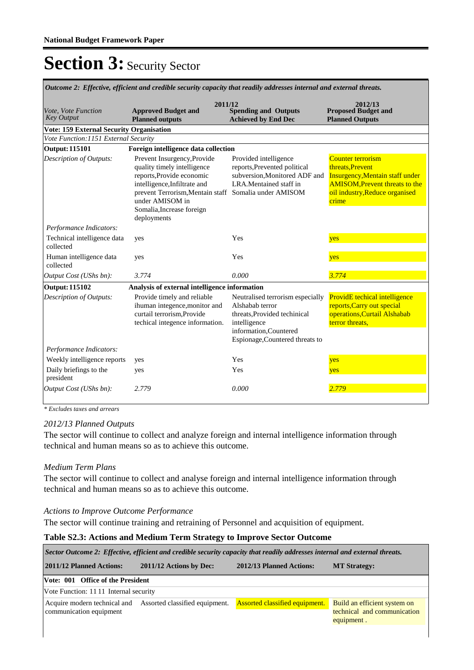| Outcome 2: Effective, efficient and credible security capacity that readily addresses internal and external threats. |                                                                                                                                                                                                                                                 |                                                                                                                                                                  |                                                                                                                                                                           |  |  |  |  |
|----------------------------------------------------------------------------------------------------------------------|-------------------------------------------------------------------------------------------------------------------------------------------------------------------------------------------------------------------------------------------------|------------------------------------------------------------------------------------------------------------------------------------------------------------------|---------------------------------------------------------------------------------------------------------------------------------------------------------------------------|--|--|--|--|
| Vote, Vote Function<br><b>Key Output</b>                                                                             | 2011/12<br><b>Approved Budget and</b><br><b>Planned outputs</b>                                                                                                                                                                                 | <b>Spending and Outputs</b><br><b>Achieved by End Dec</b>                                                                                                        | 2012/13<br><b>Proposed Budget and</b><br><b>Planned Outputs</b>                                                                                                           |  |  |  |  |
| <b>Vote: 159 External Security Organisation</b>                                                                      |                                                                                                                                                                                                                                                 |                                                                                                                                                                  |                                                                                                                                                                           |  |  |  |  |
| Vote Function:1151 External Security                                                                                 |                                                                                                                                                                                                                                                 |                                                                                                                                                                  |                                                                                                                                                                           |  |  |  |  |
| <b>Output: 115101</b>                                                                                                | Foreign intelligence data collection                                                                                                                                                                                                            |                                                                                                                                                                  |                                                                                                                                                                           |  |  |  |  |
| Description of Outputs:                                                                                              | Prevent Insurgency, Provide<br>quality timely intelligence<br>reports, Provide economic<br>intelligence, Infiltrate and<br>prevent Terrorism, Mentain staff Somalia under AMISOM<br>under AMISOM in<br>Somalia, Increase foreign<br>deployments | Provided intelligence<br>reports, Prevented political<br>subversion, Monitored ADF and<br>LRA.Mentained staff in                                                 | <b>Counter terrorism</b><br>threats.Prevent<br><b>Insurgency, Mentain staff under</b><br><b>AMISOM, Prevent threats to the</b><br>oil industry, Reduce organised<br>crime |  |  |  |  |
| Performance Indicators:                                                                                              |                                                                                                                                                                                                                                                 |                                                                                                                                                                  |                                                                                                                                                                           |  |  |  |  |
| Technical intelligence data<br>collected                                                                             | yes                                                                                                                                                                                                                                             | Yes                                                                                                                                                              | yes                                                                                                                                                                       |  |  |  |  |
| Human intelligence data<br>collected                                                                                 | yes                                                                                                                                                                                                                                             | Yes                                                                                                                                                              | yes                                                                                                                                                                       |  |  |  |  |
| Output Cost (UShs bn):                                                                                               | 3.774                                                                                                                                                                                                                                           | 0.000                                                                                                                                                            | 3.774                                                                                                                                                                     |  |  |  |  |
| <b>Output: 115102</b>                                                                                                | Analysis of external intelligence information                                                                                                                                                                                                   |                                                                                                                                                                  |                                                                                                                                                                           |  |  |  |  |
| Description of Outputs:                                                                                              | Provide timely and reliable<br>ihuman integence, monitor and<br>curtail terrorism, Provide<br>techical integence information.                                                                                                                   | Neutralised terrorism especially<br>Alshabab terror<br>threats, Provided techinical<br>intelligence<br>information, Countered<br>Espionage, Countered threats to | ProvidE techical intelligence<br>reports, Carry out special<br>operations, Curtail Alshabab<br>terror threats,                                                            |  |  |  |  |
| Performance Indicators:                                                                                              |                                                                                                                                                                                                                                                 |                                                                                                                                                                  |                                                                                                                                                                           |  |  |  |  |
| Weekly intelligence reports                                                                                          | yes                                                                                                                                                                                                                                             | Yes                                                                                                                                                              | yes                                                                                                                                                                       |  |  |  |  |
| Daily briefings to the<br>president                                                                                  | yes                                                                                                                                                                                                                                             | Yes                                                                                                                                                              | yes                                                                                                                                                                       |  |  |  |  |
| Output Cost (UShs bn):                                                                                               | 2.779                                                                                                                                                                                                                                           | 0.000                                                                                                                                                            | 2.779                                                                                                                                                                     |  |  |  |  |

*\* Excludes taxes and arrears*

#### *2012/13 Planned Outputs*

The sector will continue to collect and analyze foreign and internal intelligence information through technical and human means so as to achieve this outcome.

#### *Medium Term Plans*

The sector will continue to collect and analyse foreign and internal intelligence information through technical and human means so as to achieve this outcome.

#### *Actions to Improve Outcome Performance*

The sector will continue training and retraining of Personnel and acquisition of equipment.

#### **Table S2.3: Actions and Medium Term Strategy to Improve Sector Outcome**

*Sector Outcome 2: Effective, efficient and credible security capacity that readily addresses internal and external threats.*

| <b>2011/12 Planned Actions:</b>       | 2011/12 Actions by Dec:                                     | 2012/13 Planned Actions:              | <b>MT Strategy:</b>                                                       |
|---------------------------------------|-------------------------------------------------------------|---------------------------------------|---------------------------------------------------------------------------|
| Vote: 001 Office of the President     |                                                             |                                       |                                                                           |
| Vote Function: 1111 Internal security |                                                             |                                       |                                                                           |
| communication equipment               | Acquire modern technical and Assorted classified equipment. | <b>Assorted classified equipment.</b> | Build an efficient system on<br>technical and communication<br>equipment. |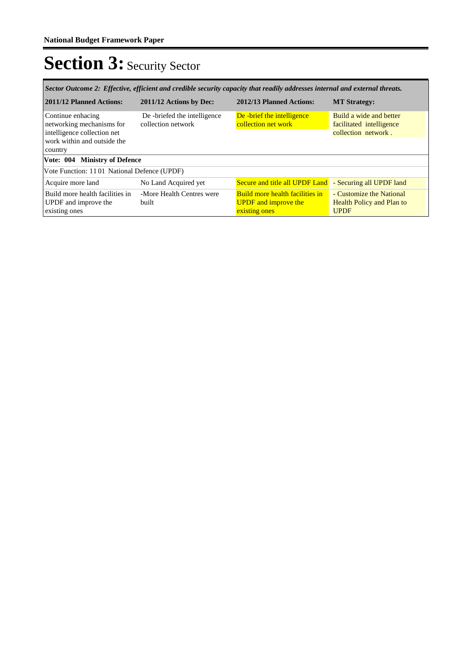| Sector Outcome 2: Effective, efficient and credible security capacity that readily addresses internal and external threats. |                                                    |                                                                                        |                                                                             |  |  |
|-----------------------------------------------------------------------------------------------------------------------------|----------------------------------------------------|----------------------------------------------------------------------------------------|-----------------------------------------------------------------------------|--|--|
| 2011/12 Planned Actions:                                                                                                    | 2011/12 Actions by Dec:                            | 2012/13 Planned Actions:                                                               | <b>MT Strategy:</b>                                                         |  |  |
| Continue enhacing<br>networking mechanisms for<br>intelligence collection net<br>work within and outside the<br>country     | De -briefed the intelligence<br>collection network | De -brief the intelligence<br>collection net work                                      | Build a wide and better<br>facilitated intelligence<br>collection network.  |  |  |
| Vote: 004 Ministry of Defence                                                                                               |                                                    |                                                                                        |                                                                             |  |  |
| Vote Function: 1101 National Defence (UPDF)                                                                                 |                                                    |                                                                                        |                                                                             |  |  |
| Acquire more land                                                                                                           | No Land Acquired yet                               | Secure and title all UPDF Land                                                         | - Securing all UPDF land                                                    |  |  |
| Build more health facilities in<br>UPDF and improve the<br>existing ones                                                    | -More Health Centres were<br>built                 | <b>Build more health facilities in</b><br><b>UPDF</b> and improve the<br>existing ones | - Customize the National<br><b>Health Policy and Plan to</b><br><b>UPDF</b> |  |  |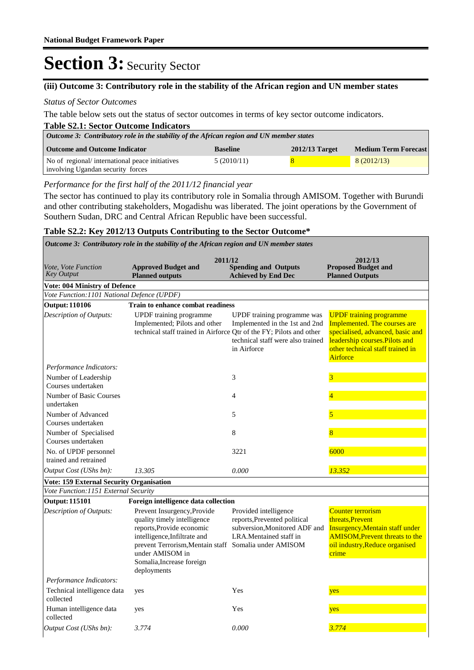#### **(iii) Outcome 3: Contributory role in the stability of the African region and UN member states**

#### *Status of Sector Outcomes*

The table below sets out the status of sector outcomes in terms of key sector outcome indicators.

| <b>Table S2.1: Sector Outcome Indicators</b>                                             |                 |                  |                             |  |  |
|------------------------------------------------------------------------------------------|-----------------|------------------|-----------------------------|--|--|
| Outcome 3: Contributory role in the stability of the African region and UN member states |                 |                  |                             |  |  |
| <b>Outcome and Outcome Indicator</b>                                                     | <b>Baseline</b> | $2012/13$ Target | <b>Medium Term Forecast</b> |  |  |
| No of regional/international peace initiatives                                           | 5(2010/11)      |                  | 8(2012/13)                  |  |  |
| involving Ugandan security forces                                                        |                 |                  |                             |  |  |

#### *Performance for the first half of the 2011/12 financial year*

The sector has continued to play its contributory role in Somalia through AMISOM. Together with Burundi and other contributing stakeholders, Mogadishu was liberated. The joint operations by the Government of Southern Sudan, DRC and Central African Republic have been successful.

#### **Table S2.2: Key 2012/13 Outputs Contributing to the Sector Outcome\***

**Spending and Outputs Achieved by End Dec Approved Budget and Planned outputs Proposed Budget and Planned Outputs 2011/12** *Vote, Vote Function Key Output* **2012/13** *Outcome 3: Contributory role in the stability of the African region and UN member states* **Vote: 004 Ministry of Defence** *Vote Function:1101 National Defence (UPDF)* **Output: 110106 Train to enhance combat readiness** UPDF training programme Implemented; Pilots and other technical staff trained in Airforce Qtr of the FY; Pilots and other UPDF training programme was Implemented in the 1st and 2nd technical staff were also trained in Airforce UPDF training programme Implemented. The courses are specialised, advanced, basic and leadership courses.Pilots and other technical staff trained in **Airforce** *Output Cost (UShs bn): 13.305 0.000 13.352 Description of Outputs: Performance Indicators:* Number of Leadership Courses undertaken  $3 \overline{3}$ Number of Basic Courses undertaken 4 and 4 and 4 and 4 and 4 and 4 and 4 and 4 and 4 and 4 and 4 and 4 and 4 and 4 and 4 and 4 and 4 and 4 and 4 Number of Advanced Courses undertaken 5 5 Number of Specialised Courses undertaken 8 8 No. of UPDF personnel trained and retrained 3221 6000 **Vote: 159 External Security Organisation** *Vote Function:1151 External Security* **Output: 115101 Foreign intelligence data collection** Prevent Insurgency,Provide quality timely intelligence reports,Provide economic intelligence,Infiltrate and prevent Terrorism,Mentain staff Somalia under AMISOM under AMISOM in Somalia,Increase foreign deployments Provided intelligence reports,Prevented political subversion,Monitored ADF and LRA.Mentained staff in Counter terrorism threats,Prevent Insurgency,Mentain staff under AMISOM,Prevent threats to the oil industry,Reduce organised crime *Output Cost (UShs bn): 3.774 0.000 3.774 Description of Outputs: Performance Indicators:* Technical intelligence data collected yes Yes <mark>yes</mark> Human intelligence data collected yes Yes yes yes yes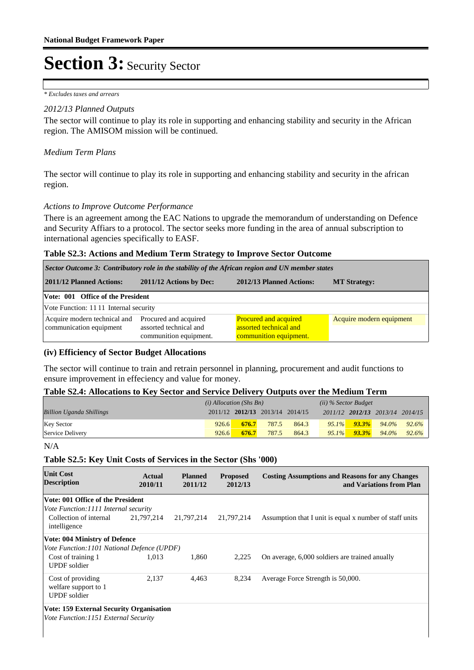*\* Excludes taxes and arrears*

#### *2012/13 Planned Outputs*

The sector will continue to play its role in supporting and enhancing stability and security in the African region. The AMISOM mission will be continued.

#### *Medium Term Plans*

The sector will continue to play its role in supporting and enhancing stability and security in the african region.

#### *Actions to Improve Outcome Performance*

There is an agreement among the EAC Nations to upgrade the memorandum of understanding on Defence and Security Affiars to a protocol. The sector seeks more funding in the area of annual subscription to international agencies specifically to EASF.

#### **Table S2.3: Actions and Medium Term Strategy to Improve Sector Outcome**

| Sector Outcome 3: Contributory role in the stability of the African region and UN member states |                                                                           |                                                                                  |                          |  |  |  |
|-------------------------------------------------------------------------------------------------|---------------------------------------------------------------------------|----------------------------------------------------------------------------------|--------------------------|--|--|--|
| 2011/12 Planned Actions:                                                                        | 2011/12 Actions by Dec:                                                   | 2012/13 Planned Actions:                                                         | <b>MT Strategy:</b>      |  |  |  |
|                                                                                                 | Vote: 001 Office of the President                                         |                                                                                  |                          |  |  |  |
| Vote Function: 1111 Internal security                                                           |                                                                           |                                                                                  |                          |  |  |  |
| Acquire modern technical and<br>communication equipment                                         | Procured and acquired<br>assorted technical and<br>communition equipment. | <b>Procured and acquired</b><br>assorted technical and<br>communition equipment. | Acquire modern equipment |  |  |  |

#### **(iv) Efficiency of Sector Budget Allocations**

The sector will continue to train and retrain personnel in planning, procurement and audit functions to ensure improvement in effeciency and value for money.

#### **Table S2.4: Allocations to Key Sector and Service Delivery Outputs over the Medium Term**

|                                 | $(i)$ Allocation (Shs Bn) |       |                                 | $(ii)$ % Sector Budget |          |          |                                 |          |
|---------------------------------|---------------------------|-------|---------------------------------|------------------------|----------|----------|---------------------------------|----------|
| <b>Billion Uganda Shillings</b> |                           |       | 2011/12 2012/13 2013/14 2014/15 |                        |          |          | 2011/12 2012/13 2013/14 2014/15 |          |
| <b>Key Sector</b>               | 926.6                     | 676.7 | 787.5                           | 864.3                  | $95.1\%$ | $93.3\%$ | 94.0%                           | $92.6\%$ |
| Service Delivery                | 926.6                     | 676.7 | 787.5                           | 864.3                  | $95.1\%$ | $93.3\%$ | 94.0%                           | 92.6%    |

N/A

#### **Table S2.5: Key Unit Costs of Services in the Sector (Shs '000)**

| <b>Unit Cost</b><br><b>Description</b>                           | Actual<br>2010/11 | <b>Planned</b><br>2011/12 | <b>Proposed</b><br>2012/13 | <b>Costing Assumptions and Reasons for any Changes</b><br>and Variations from Plan |
|------------------------------------------------------------------|-------------------|---------------------------|----------------------------|------------------------------------------------------------------------------------|
| Vote: 001 Office of the President                                |                   |                           |                            |                                                                                    |
| <i>Vote Function: 1111 Internal security</i>                     |                   |                           |                            |                                                                                    |
| Collection of internal<br>intelligence                           | 21,797,214        | 21,797,214                | 21,797,214                 | Assumption that I unit is equal x number of staff units                            |
| <b>Vote: 004 Ministry of Defence</b>                             |                   |                           |                            |                                                                                    |
| Vote Function: 1101 National Defence (UPDF)                      |                   |                           |                            |                                                                                    |
| Cost of training 1<br><b>UPDF</b> soldier                        | 1.013             | 1,860                     | 2,225                      | On average, 6,000 soldiers are trained anually                                     |
| Cost of providing<br>welfare support to 1<br><b>UPDF</b> soldier | 2.137             | 4,463                     | 8,234                      | Average Force Strength is 50,000.                                                  |
| Vote: 159 External Security Organisation                         |                   |                           |                            |                                                                                    |

*Vote Function:1151 External Security*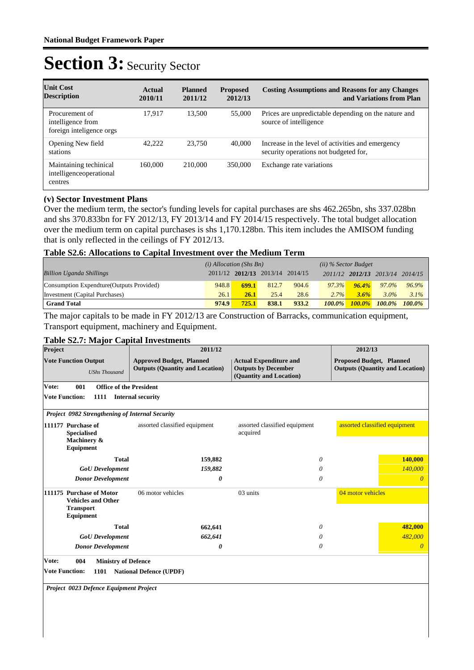| <b>Unit Cost</b><br><b>Description</b>                          | Actual<br>2010/11 | <b>Planned</b><br>2011/12 | <b>Proposed</b><br>2012/13 | <b>Costing Assumptions and Reasons for any Changes</b><br>and Variations from Plan         |
|-----------------------------------------------------------------|-------------------|---------------------------|----------------------------|--------------------------------------------------------------------------------------------|
| Procurement of<br>intelligence from<br>foreign inteligence orgs | 17.917            | 13.500                    | 55,000                     | Prices are unpredictable depending on the nature and<br>source of intelligence             |
| Opening New field<br>stations                                   | 42.222            | 23,750                    | 40,000                     | Increase in the level of activities and emergency<br>security operations not budgeted for, |
| Maintaining techinical<br>intelligenceoperational<br>centres    | 160,000           | 210,000                   | 350,000                    | Exchange rate variations                                                                   |

#### **(v) Sector Investment Plans**

Over the medium term, the sector's funding levels for capital purchases are shs 462.265bn, shs 337.028bn and shs 370.833bn for FY 2012/13, FY 2013/14 and FY 2014/15 respectively. The total budget allocation over the medium term on capital purchases is shs 1,170.128bn. This item includes the AMISOM funding that is only reflected in the ceilings of FY 2012/13.

#### **Table S2.6: Allocations to Capital Investment over the Medium Term**

|                                           | $(i)$ Allocation (Shs Bn) |              |                                 | $(ii)$ % Sector Budget |           |           |                         |           |
|-------------------------------------------|---------------------------|--------------|---------------------------------|------------------------|-----------|-----------|-------------------------|-----------|
| <b>Billion Uganda Shillings</b>           |                           |              | 2011/12 2012/13 2013/14 2014/15 |                        |           |           | 2011/12 2012/13 2013/14 | 2014/15   |
| Consumption Expendture (Outputs Provided) | 948.8                     | <b>699.1</b> | 812.7                           | 904.6                  | 97.3%     | $96.4\%$  | 97.0%                   | 96.9%     |
| Investment (Capital Purchases)            | 26.1                      | 26.1         | 25.4                            | 28.6                   | $2.7\%$   | 3.6%      | $3.0\%$                 | $3.1\%$   |
| <b>Grand Total</b>                        | 974.9                     | 725.1        | 838.1                           | 933.2                  | $100.0\%$ | $100.0\%$ | $100.0\%$               | $100.0\%$ |

The major capitals to be made in FY 2012/13 are Construction of Barracks, communication equipment, Transport equipment, machinery and Equipment.

#### **Table S2.7: Major Capital Investments**

| Project                        |                                                                                        | 2011/12                                                                   |                                                                                        | 2012/13                                                                   |
|--------------------------------|----------------------------------------------------------------------------------------|---------------------------------------------------------------------------|----------------------------------------------------------------------------------------|---------------------------------------------------------------------------|
|                                | <b>Vote Function Output</b><br><b>UShs Thousand</b>                                    | <b>Approved Budget, Planned</b><br><b>Outputs (Quantity and Location)</b> | <b>Actual Expenditure and</b><br><b>Outputs by December</b><br>(Quantity and Location) | <b>Proposed Budget, Planned</b><br><b>Outputs (Quantity and Location)</b> |
| Vote:                          | 001<br><b>Office of the President</b>                                                  |                                                                           |                                                                                        |                                                                           |
| <b>Vote Function:</b>          | 1111                                                                                   | <b>Internal security</b>                                                  |                                                                                        |                                                                           |
|                                | Project 0982 Strengthening of Internal Security                                        |                                                                           |                                                                                        |                                                                           |
|                                | 111177 Purchase of<br><b>Specialised</b><br>Machinery &<br>Equipment                   | assorted classified equipment                                             | assorted classified equipment<br>acquired                                              | assorted classified equipment                                             |
|                                | <b>Total</b>                                                                           | 159,882                                                                   | 0                                                                                      | 140,000                                                                   |
|                                | <b>GoU</b> Development                                                                 | 159,882                                                                   | 0                                                                                      | 140,000                                                                   |
|                                | <b>Donor Development</b>                                                               | 0                                                                         | 0                                                                                      | $\theta$                                                                  |
|                                | 111175 Purchase of Motor<br><b>Vehicles and Other</b><br><b>Transport</b><br>Equipment | 06 motor vehicles                                                         | 03 units                                                                               | 04 motor vehicles                                                         |
|                                | <b>Total</b>                                                                           | 662,641                                                                   | 0                                                                                      | 482,000                                                                   |
|                                | <b>GoU</b> Development                                                                 | 662,641                                                                   | 0                                                                                      | 482,000                                                                   |
|                                | <b>Donor Development</b>                                                               | 0                                                                         | 0                                                                                      | $\theta$                                                                  |
| Vote:<br><b>Vote Function:</b> | 004<br><b>Ministry of Defence</b><br>1101<br>Project 0023 Defence Equipment Project    | <b>National Defence (UPDF)</b>                                            |                                                                                        |                                                                           |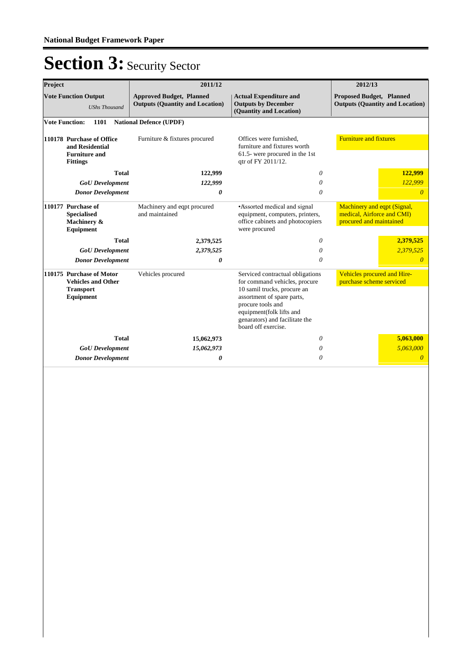| Project<br>2011/12                                                                     |                                                                                         |                                                                           |                                                                                                                                                                                                                                          | 2012/13                                                                              |  |
|----------------------------------------------------------------------------------------|-----------------------------------------------------------------------------------------|---------------------------------------------------------------------------|------------------------------------------------------------------------------------------------------------------------------------------------------------------------------------------------------------------------------------------|--------------------------------------------------------------------------------------|--|
| <b>Vote Function Output</b><br><b>UShs Thousand</b>                                    |                                                                                         | <b>Approved Budget, Planned</b><br><b>Outputs (Quantity and Location)</b> | <b>Actual Expenditure and</b><br><b>Outputs by December</b><br>(Quantity and Location)                                                                                                                                                   | <b>Proposed Budget, Planned</b><br><b>Outputs (Quantity and Location)</b>            |  |
|                                                                                        | <b>Vote Function:</b><br>1101                                                           | <b>National Defence (UPDF)</b>                                            |                                                                                                                                                                                                                                          |                                                                                      |  |
|                                                                                        | 110178 Purchase of Office<br>and Residential<br><b>Furniture and</b><br><b>Fittings</b> | Furniture & fixtures procured                                             | Offices were furnished,<br>furniture and fixtures worth<br>61.5- were procured in the 1st<br>qtr of FY 2011/12.                                                                                                                          | <b>Furniture and fixtures</b>                                                        |  |
|                                                                                        | <b>Total</b>                                                                            | 122,999                                                                   | 0                                                                                                                                                                                                                                        | 122,999                                                                              |  |
|                                                                                        | <b>GoU</b> Development                                                                  | 122,999                                                                   | 0                                                                                                                                                                                                                                        | 122,999                                                                              |  |
|                                                                                        | <b>Donor Development</b>                                                                | 0                                                                         | 0                                                                                                                                                                                                                                        | $\theta$                                                                             |  |
| 110177 Purchase of<br><b>Specialised</b><br>Machinery &<br>Equipment                   |                                                                                         | Machinery and eqpt procured<br>and maintained                             | •Assorted medical and signal<br>equipment, computers, printers,<br>office cabinets and photocopiers<br>were procured                                                                                                                     | Machinery and eqpt (Signal,<br>medical, Airforce and CMI)<br>procured and maintained |  |
|                                                                                        | <b>Total</b>                                                                            | 2,379,525                                                                 | 0                                                                                                                                                                                                                                        | 2,379,525                                                                            |  |
|                                                                                        | <b>GoU</b> Development                                                                  | 2,379,525                                                                 | 0                                                                                                                                                                                                                                        | 2,379,525                                                                            |  |
|                                                                                        | <b>Donor Development</b>                                                                | 0                                                                         | 0                                                                                                                                                                                                                                        | $\theta$                                                                             |  |
| 110175 Purchase of Motor<br><b>Vehicles and Other</b><br><b>Transport</b><br>Equipment |                                                                                         | Vehicles procured                                                         | Serviced contractual obligations<br>for command vehicles, procure<br>10 samil trucks, procure an<br>assortment of spare parts,<br>procure tools and<br>equipment(folk lifts and<br>genarators) and facilitate the<br>board off exercise. | Vehicles procured and Hire-<br>purchase scheme serviced                              |  |
|                                                                                        | <b>Total</b>                                                                            | 15,062,973                                                                | 0                                                                                                                                                                                                                                        | 5,063,000                                                                            |  |
|                                                                                        | <b>GoU</b> Development                                                                  | 15,062,973                                                                | 0                                                                                                                                                                                                                                        | 5,063,000                                                                            |  |
|                                                                                        | <b>Donor Development</b>                                                                | 0                                                                         | $\theta$                                                                                                                                                                                                                                 | $\overline{0}$                                                                       |  |
|                                                                                        |                                                                                         |                                                                           |                                                                                                                                                                                                                                          |                                                                                      |  |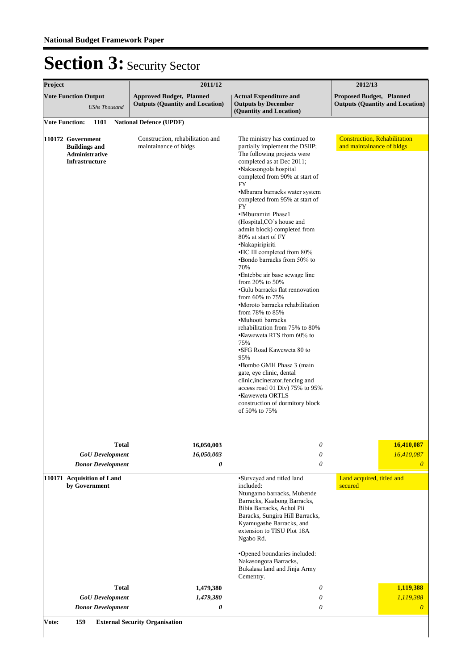| Project                                                                              | 2011/12                                                                   |                                                                                                                                                                                                                                                                                                                                                                                                                                                                                                                                                                                                                                                                                                                                                                                                                                                                                                                                                                                              | 2012/13                                                                   |
|--------------------------------------------------------------------------------------|---------------------------------------------------------------------------|----------------------------------------------------------------------------------------------------------------------------------------------------------------------------------------------------------------------------------------------------------------------------------------------------------------------------------------------------------------------------------------------------------------------------------------------------------------------------------------------------------------------------------------------------------------------------------------------------------------------------------------------------------------------------------------------------------------------------------------------------------------------------------------------------------------------------------------------------------------------------------------------------------------------------------------------------------------------------------------------|---------------------------------------------------------------------------|
| <b>Vote Function Output</b><br><b>UShs Thousand</b>                                  | <b>Approved Budget, Planned</b><br><b>Outputs (Quantity and Location)</b> | <b>Actual Expenditure and</b><br><b>Outputs by December</b><br>(Quantity and Location)                                                                                                                                                                                                                                                                                                                                                                                                                                                                                                                                                                                                                                                                                                                                                                                                                                                                                                       | <b>Proposed Budget, Planned</b><br><b>Outputs (Quantity and Location)</b> |
| <b>Vote Function:</b><br>1101                                                        | <b>National Defence (UPDF)</b>                                            |                                                                                                                                                                                                                                                                                                                                                                                                                                                                                                                                                                                                                                                                                                                                                                                                                                                                                                                                                                                              |                                                                           |
| 110172 Government<br><b>Buildings and</b><br>Administrative<br><b>Infrastructure</b> | Construction, rehabilitation and<br>maintainance of bldgs                 | The ministry has continued to<br>partially implement the DSIIP;<br>The following projects were<br>completed as at Dec 2011;<br>·Nakasongola hospital<br>completed from 90% at start of<br><b>FY</b><br>•Mbarara barracks water system<br>completed from 95% at start of<br><b>FY</b><br>· Mburamizi Phase1<br>(Hospital,CO's house and<br>admin block) completed from<br>80% at start of FY<br>·Nakapiripiriti<br>•HC III completed from 80%<br>•Bondo barracks from 50% to<br>70%<br>•Entebbe air base sewage line<br>from 20% to 50%<br>•Gulu barracks flat rennovation<br>from $60\%$ to $75\%$<br>•Moroto barracks rehabilitation<br>from 78% to 85%<br>•Muhooti barracks<br>rehabilitation from 75% to 80%<br>•Klaweweta RTS from 60% to<br>75%<br>•SFG Road Kaweweta 80 to<br>95%<br>•Bombo GMH Phase 3 (main<br>gate, eye clinic, dental<br>clinic, incinerator, fencing and<br>access road 01 Div) 75% to 95%<br>•Kaweweta ORTLS<br>construction of dormitory block<br>of 50% to 75% | <b>Construction, Rehabilitation</b><br>and maintainance of bldgs          |
| <b>Total</b>                                                                         | 16,050,003                                                                | 0                                                                                                                                                                                                                                                                                                                                                                                                                                                                                                                                                                                                                                                                                                                                                                                                                                                                                                                                                                                            | 16,410,087                                                                |
| <b>GoU</b> Development                                                               | 16,050,003                                                                | $\theta$                                                                                                                                                                                                                                                                                                                                                                                                                                                                                                                                                                                                                                                                                                                                                                                                                                                                                                                                                                                     | 16,410,087                                                                |
| <b>Donor Development</b>                                                             | 0                                                                         | $\theta$                                                                                                                                                                                                                                                                                                                                                                                                                                                                                                                                                                                                                                                                                                                                                                                                                                                                                                                                                                                     | $\boldsymbol{0}$                                                          |
| 110171 Acquisition of Land<br>by Government                                          |                                                                           | ·Surveyed and titled land<br>included:<br>Ntungamo barracks, Mubende<br>Barracks, Kaabong Barracks,<br>Bibia Barracks, Achol Pii<br>Baracks, Sungira Hill Barracks,<br>Kyamugashe Barracks, and<br>extension to TISU Plot 18A<br>Ngabo Rd.<br>•Opened boundaries included:<br>Nakasongora Barracks,<br>Bukalasa land and Jinja Army<br>Cementry.                                                                                                                                                                                                                                                                                                                                                                                                                                                                                                                                                                                                                                             | Land acquired, titled and<br>secured                                      |
| <b>Total</b>                                                                         | 1,479,380                                                                 | 0                                                                                                                                                                                                                                                                                                                                                                                                                                                                                                                                                                                                                                                                                                                                                                                                                                                                                                                                                                                            | 1,119,388                                                                 |
| <b>GoU</b> Development                                                               | 1,479,380                                                                 | $\theta$                                                                                                                                                                                                                                                                                                                                                                                                                                                                                                                                                                                                                                                                                                                                                                                                                                                                                                                                                                                     | 1,119,388                                                                 |
| <b>Donor Development</b>                                                             | 0                                                                         | $\theta$                                                                                                                                                                                                                                                                                                                                                                                                                                                                                                                                                                                                                                                                                                                                                                                                                                                                                                                                                                                     | $\overline{0}$                                                            |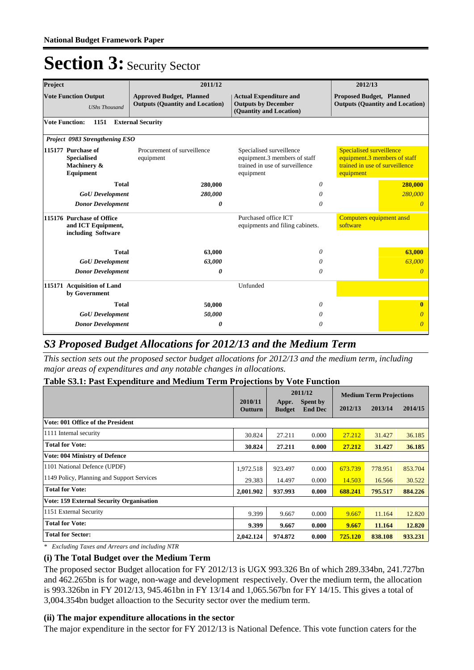| Project                                                               | 2011/12                                                                                                                                             |                                                                                        | 2012/13                                                                                                        |  |
|-----------------------------------------------------------------------|-----------------------------------------------------------------------------------------------------------------------------------------------------|----------------------------------------------------------------------------------------|----------------------------------------------------------------------------------------------------------------|--|
| <b>Vote Function Output</b><br><b>UShs Thousand</b>                   | <b>Approved Budget, Planned</b><br><b>Outputs (Quantity and Location)</b>                                                                           | <b>Actual Expenditure and</b><br><b>Outputs by December</b><br>(Quantity and Location) | <b>Proposed Budget, Planned</b><br><b>Outputs (Quantity and Location)</b>                                      |  |
| <b>Vote Function:</b><br>1151                                         | <b>External Security</b>                                                                                                                            |                                                                                        |                                                                                                                |  |
| Project 0983 Strengthening ESO                                        |                                                                                                                                                     |                                                                                        |                                                                                                                |  |
| 115177 Purchase of<br><b>Specialised</b><br>Machinery &<br>Equipment  | Procurement of surveillence<br>Specialised surveillence<br>equipment.3 members of staff<br>equipment<br>trained in use of surveillence<br>equipment |                                                                                        | <b>Specialised surveillence</b><br>equipment.3 members of staff<br>trained in use of surveillence<br>equipment |  |
| <b>Total</b>                                                          | 280,000                                                                                                                                             | 0                                                                                      | 280,000                                                                                                        |  |
| <b>GoU</b> Development                                                | 280,000                                                                                                                                             |                                                                                        | 280,000                                                                                                        |  |
| <b>Donor Development</b>                                              | 0                                                                                                                                                   | $\theta$                                                                               | $\theta$                                                                                                       |  |
| 115176 Purchase of Office<br>and ICT Equipment,<br>including Software |                                                                                                                                                     | Purchased office ICT<br>equipments and filing cabinets.                                | Computers equipment ansd<br>software                                                                           |  |
| <b>Total</b>                                                          | 63,000                                                                                                                                              | 0                                                                                      | 63,000                                                                                                         |  |
| <b>GoU</b> Development                                                | 63,000                                                                                                                                              | 0                                                                                      | 63,000                                                                                                         |  |
| <b>Donor Development</b>                                              | 0                                                                                                                                                   | 0                                                                                      | $\Omega$                                                                                                       |  |
| <b>Acquisition of Land</b><br>115171<br>by Government                 |                                                                                                                                                     | Unfunded                                                                               |                                                                                                                |  |
| <b>Total</b>                                                          | 50,000                                                                                                                                              | 0                                                                                      | $\mathbf{0}$                                                                                                   |  |
| <b>GoU</b> Development                                                | 50,000                                                                                                                                              | 0                                                                                      | 0                                                                                                              |  |
| <b>Donor Development</b>                                              | 0                                                                                                                                                   | 0                                                                                      | $\Omega$                                                                                                       |  |

### *S3 Proposed Budget Allocations for 2012/13 and the Medium Term*

*This section sets out the proposed sector budget allocations for 2012/13 and the medium term, including major areas of expenditures and any notable changes in allocations.* 

#### **Table S3.1: Past Expenditure and Medium Term Projections by Vote Function**

|                                                 |                    |                        | 2011/12                           | <b>Medium Term Projections</b> |         |         |
|-------------------------------------------------|--------------------|------------------------|-----------------------------------|--------------------------------|---------|---------|
|                                                 | 2010/11<br>Outturn | Appr.<br><b>Budget</b> | <b>Spent by</b><br><b>End Dec</b> | 2012/13                        | 2013/14 | 2014/15 |
| Vote: 001 Office of the President               |                    |                        |                                   |                                |         |         |
| 1111 Internal security                          | 30.824             | 27.211                 | 0.000                             | 27.212                         | 31.427  | 36.185  |
| <b>Total for Vote:</b>                          | 30.824             | 27.211                 | 0.000                             | 27.212                         | 31.427  | 36.185  |
| <b>Vote: 004 Ministry of Defence</b>            |                    |                        |                                   |                                |         |         |
| 1101 National Defence (UPDF)                    | 1,972.518          | 923.497                | 0.000                             | 673.739                        | 778.951 | 853.704 |
| 1149 Policy, Planning and Support Services      | 29.383             | 14.497                 | 0.000                             | 14.503                         | 16.566  | 30.522  |
| <b>Total for Vote:</b>                          | 2.001.902          | 937.993                | 0.000                             | 688.241                        | 795.517 | 884.226 |
| <b>Vote: 159 External Security Organisation</b> |                    |                        |                                   |                                |         |         |
| 1151 External Security                          | 9.399              | 9.667                  | 0.000                             | 9.667                          | 11.164  | 12.820  |
| <b>Total for Vote:</b>                          | 9.399              | 9.667                  | 0.000                             | 9.667                          | 11.164  | 12.820  |
| <b>Total for Sector:</b>                        | 2,042.124          | 974.872                | 0.000                             | 725.120                        | 838.108 | 933.231 |

*\* Excluding Taxes and Arrears and including NTR*

#### **(i) The Total Budget over the Medium Term**

The proposed sector Budget allocation for FY 2012/13 is UGX 993.326 Bn of which 289.334bn, 241.727bn and 462.265bn is for wage, non-wage and development respectively. Over the medium term, the allocation is 993.326bn in FY 2012/13, 945.461bn in FY 13/14 and 1,065.567bn for FY 14/15. This gives a total of 3,004.354bn budget alloaction to the Security sector over the medium term.

#### **(ii) The major expenditure allocations in the sector**

The major expenditure in the sector for FY 2012/13 is National Defence. This vote function caters for the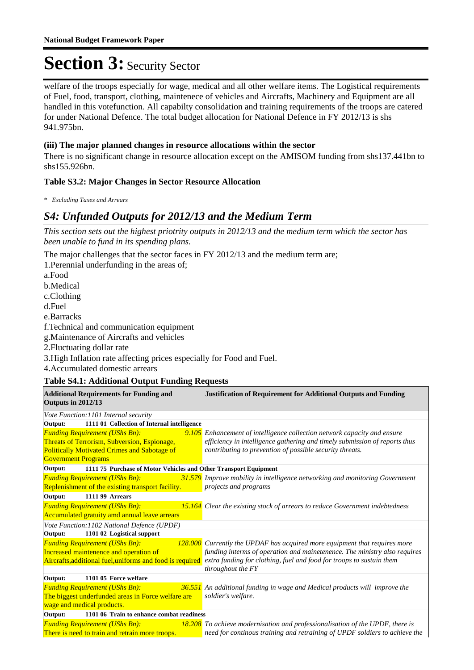welfare of the troops especially for wage, medical and all other welfare items. The Logistical requirements of Fuel, food, transport, clothing, maintenece of vehicles and Aircrafts, Machinery and Equipment are all handled in this votefunction. All capabilty consolidation and training requirements of the troops are catered for under National Defence. The total budget allocation for National Defence in FY 2012/13 is shs 941.975bn.

#### **(iii) The major planned changes in resource allocations within the sector**

There is no significant change in resource allocation except on the AMISOM funding from shs137.441bn to shs155.926bn.

#### **Table S3.2: Major Changes in Sector Resource Allocation**

*\* Excluding Taxes and Arrears*

### *S4: Unfunded Outputs for 2012/13 and the Medium Term*

*This section sets out the highest priotrity outputs in 2012/13 and the medium term which the sector has been unable to fund in its spending plans.*

The major challenges that the sector faces in FY 2012/13 and the medium term are;

1. Perennial underfunding in the areas of; a.Food b. Medical c.Clothing d.Fuel e.Barracks f. Technical and communication equipment g. Maintenance of Aircrafts and vehicles 2. Fluctuating dollar rate

3. High Inflation rate affecting prices especially for Food and Fuel.

4. Accumulated domestic arrears

#### **Table S4.1: Additional Output Funding Requests**

| <b>Additional Requirements for Funding and</b><br>Outputs in 2012/13        | <b>Justification of Requirement for Additional Outputs and Funding</b>                                                         |
|-----------------------------------------------------------------------------|--------------------------------------------------------------------------------------------------------------------------------|
| Vote Function: 1101 Internal security                                       |                                                                                                                                |
| 1111 01 Collection of Internal intelligence<br>Output:                      |                                                                                                                                |
| <b>Funding Requirement (UShs Bn):</b>                                       | 9.105 Enhancement of intelligence collection network capacity and ensure                                                       |
| Threats of Terrorism, Subversion, Espionage,                                | efficiency in intelligence gathering and timely submission of reports thus                                                     |
| <b>Politically Motivated Crimes and Sabotage of</b>                         | contributing to prevention of possible security threats.                                                                       |
| <b>Government Programs</b>                                                  |                                                                                                                                |
| Output:<br>1111 75 Purchase of Motor Vehicles and Other Transport Equipment |                                                                                                                                |
| <b>Funding Requirement (UShs Bn):</b>                                       | 31.579 Improve mobility in intelligence networking and monitoring Government                                                   |
| Replenishment of the existing transport facility.                           | projects and programs                                                                                                          |
| 1111 99 Arrears<br>Output:                                                  |                                                                                                                                |
| <b>Funding Requirement (UShs Bn):</b>                                       | 15.164 Clear the existing stock of arrears to reduce Government indebtedness                                                   |
| Accumulated gratuity amd annual leave arrears                               |                                                                                                                                |
| Vote Function:1102 National Defence (UPDF)                                  |                                                                                                                                |
| 1101 02 Logistical support<br>Output:                                       |                                                                                                                                |
| <b>Funding Requirement (UShs Bn):</b>                                       | 128,000 Currently the UPDAF has acquired more equipment that requires more                                                     |
| Increased maintenence and operation of                                      | funding interms of operation and mainetenence. The ministry also requires                                                      |
|                                                                             | Aircrafts, additional fuel, uniforms and food is required extra funding for clothing, fuel and food for troops to sustain them |
|                                                                             | throughout the FY                                                                                                              |
| Output:<br>1101 05 Force welfare                                            |                                                                                                                                |
| <b>Funding Requirement (UShs Bn):</b>                                       | 36.551 An additional funding in wage and Medical products will improve the                                                     |
| The biggest underfunded areas in Force welfare are                          | soldier's welfare.                                                                                                             |
| wage and medical products.                                                  |                                                                                                                                |
| 1101 06 Train to enhance combat readiness<br>Output:                        |                                                                                                                                |
| <b>Funding Requirement (UShs Bn):</b>                                       | 18.208 To achieve modernisation and professionalisation of the UPDF, there is                                                  |
| There is need to train and retrain more troops.                             | need for continous training and retraining of UPDF soldiers to achieve the                                                     |